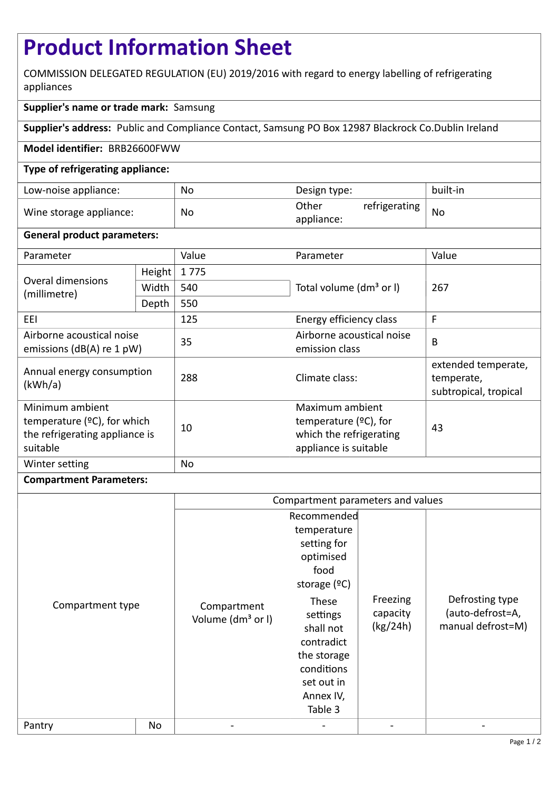# **Product Information Sheet**

COMMISSION DELEGATED REGULATION (EU) 2019/2016 with regard to energy labelling of refrigerating appliances

## **Supplier's name or trade mark:** Samsung

**Supplier's address:** Public and Compliance Contact, Samsung PO Box 12987 Blackrock Co.Dublin Ireland

### **Model identifier:** BRB26600FWW

### **Type of refrigerating appliance:**

| Low-noise appliance:    | No        | Design type:                         | built-in  |
|-------------------------|-----------|--------------------------------------|-----------|
| Wine storage appliance: | <b>No</b> | Other<br>refrigerating<br>appliance: | <b>Nc</b> |

### **General product parameters:**

| Parameter                                                                                       |        | Value     | Parameter                                                                                       | Value                                                      |  |
|-------------------------------------------------------------------------------------------------|--------|-----------|-------------------------------------------------------------------------------------------------|------------------------------------------------------------|--|
| <b>Overal dimensions</b><br>(millimetre)                                                        | Height | 1775      |                                                                                                 | 267                                                        |  |
|                                                                                                 | Width  | 540       | Total volume (dm <sup>3</sup> or I)                                                             |                                                            |  |
|                                                                                                 | Depth  | 550       |                                                                                                 |                                                            |  |
| EEL                                                                                             |        | 125       | Energy efficiency class                                                                         | F                                                          |  |
| Airborne acoustical noise<br>emissions ( $dB(A)$ re 1 pW)                                       |        | 35        | Airborne acoustical noise<br>emission class                                                     | B                                                          |  |
| Annual energy consumption<br>(kWh/a)                                                            |        | 288       | Climate class:                                                                                  | extended temperate,<br>temperate,<br>subtropical, tropical |  |
| Minimum ambient<br>temperature $(2C)$ , for which<br>the refrigerating appliance is<br>suitable |        | 10        | Maximum ambient<br>temperature $(2C)$ , for<br>which the refrigerating<br>appliance is suitable | 43                                                         |  |
| Winter setting                                                                                  |        | <b>No</b> |                                                                                                 |                                                            |  |

### **Compartment Parameters:**

|                  |    | Compartment parameters and values            |                                                                                                                                  |                                  |                                                          |
|------------------|----|----------------------------------------------|----------------------------------------------------------------------------------------------------------------------------------|----------------------------------|----------------------------------------------------------|
| Compartment type |    | Compartment<br>Volume (dm <sup>3</sup> or I) | Recommended<br>temperature<br>setting for<br>optimised<br>food<br>storage $(°C)$<br>These<br>settings<br>shall not<br>contradict | Freezing<br>capacity<br>(kg/24h) | Defrosting type<br>(auto-defrost=A,<br>manual defrost=M) |
|                  |    |                                              | the storage<br>conditions<br>set out in<br>Annex IV,<br>Table 3                                                                  |                                  |                                                          |
| Pantry           | No |                                              |                                                                                                                                  |                                  |                                                          |